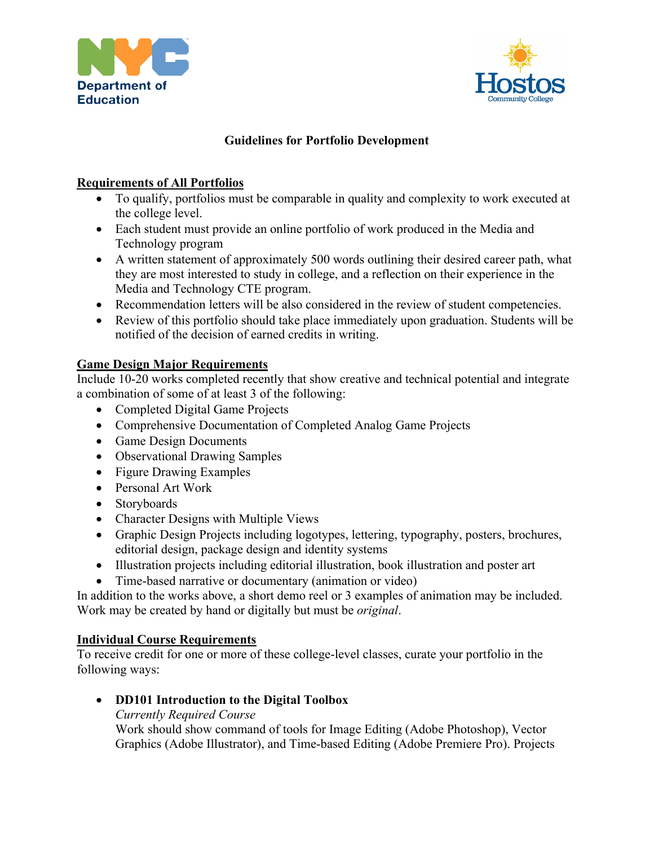



# **Guidelines for Portfolio Development**

#### **Requirements of All Portfolios**

- To qualify, portfolios must be comparable in quality and complexity to work executed at the college level.
- Each student must provide an online portfolio of work produced in the Media and Technology program
- A written statement of approximately 500 words outlining their desired career path, what they are most interested to study in college, and a reflection on their experience in the Media and Technology CTE program.
- Recommendation letters will be also considered in the review of student competencies.
- Review of this portfolio should take place immediately upon graduation. Students will be notified of the decision of earned credits in writing.

### **Game Design Major Requirements**

Include 10-20 works completed recently that show creative and technical potential and integrate a combination of some of at least 3 of the following:

- Completed Digital Game Projects
- Comprehensive Documentation of Completed Analog Game Projects
- Game Design Documents
- Observational Drawing Samples
- Figure Drawing Examples
- Personal Art Work
- Storyboards
- Character Designs with Multiple Views
- Graphic Design Projects including logotypes, lettering, typography, posters, brochures, editorial design, package design and identity systems
- Illustration projects including editorial illustration, book illustration and poster art
- Time-based narrative or documentary (animation or video)

In addition to the works above, a short demo reel or 3 examples of animation may be included. Work may be created by hand or digitally but must be *original*.

#### **Individual Course Requirements**

To receive credit for one or more of these college-level classes, curate your portfolio in the following ways:

## • **DD101 Introduction to the Digital Toolbox**

*Currently Required Course*

Work should show command of tools for Image Editing (Adobe Photoshop), Vector Graphics (Adobe Illustrator), and Time-based Editing (Adobe Premiere Pro). Projects